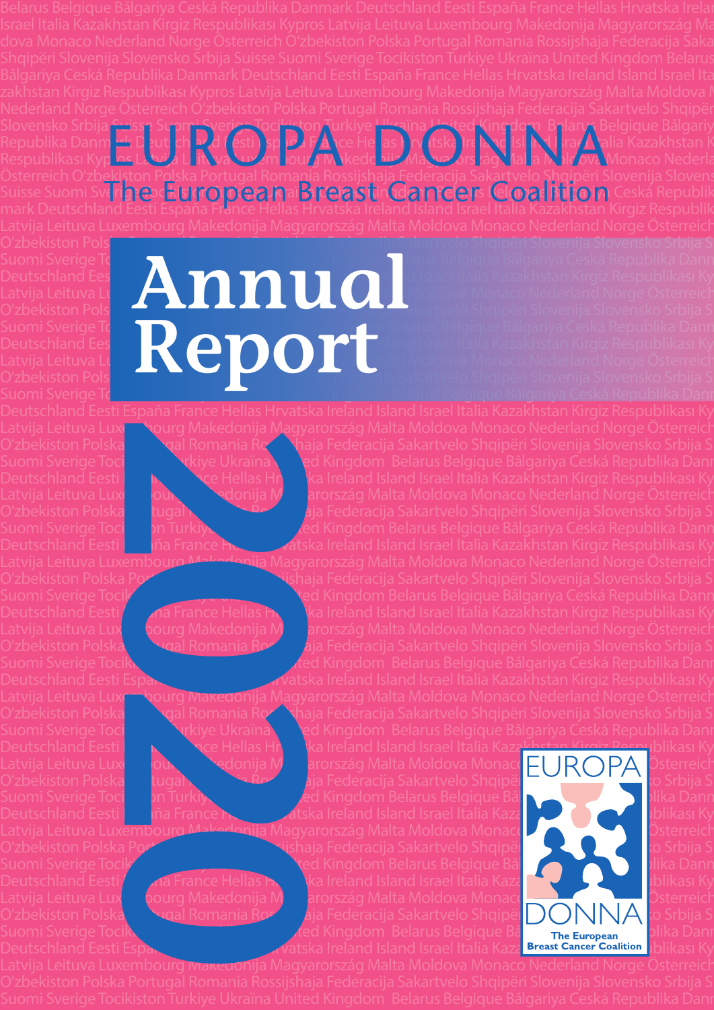O'zbekiston Pols**ka Portugal Romania Romania Rossija Federacija** Sakartvelo Shqipëri Slovenija Slovensko Srbija S

O'zbekiston Polska **Portugal Romania Rossijaa Federacija Sakartvelo Shqipëri Slovenija Slovensko Srbija S**uisse Srbija Suisse Srbija Suisse Srbija Suisse Srbija Suisse Srbija Suisse Srbija Suisse Srbija Suisse Suisse Suiss

Latvija Leituva Luxembourg Makedonija Magyarország Malta Moldova Monaco Nederland Norge Österreich

## Suomi Sverige To $\Box$  Turkiye Ukraïna Ukraïna Ukraïna United Kingdom Belgique Bălgariya Ceská Republika Dann Deutschland Eesti España France Hellas Hrvatska II Santa Iralia Kazakhstan Kirgiz Respublikası Ky Latvija Leituva Lu $\blacksquare$  Moldova Monaco Nederland Norge Österreich Suomi Sverige Toriston Polska Romania Rossija Federacija Ceská Republika Dann<br>Deutschland Eeska Rossija Federacija Federacija Slovenija Slovensko Srbija Suisse Italia Kazakhstan Kirgiz Respublikası Ky<br>Oʻzbekiston Polska Ro Suomi Sverige Tocikiston Turkiye Ukraïna Ukraïna United Kingdom Belarus Belgique Bălgariya Ceská Republika Dann Deutschland Eesti España France Hellas Hrvatska Ireland Israel Italia Kazakhstan Kirgiz Respublikası Ky Latvija Leituva Luxembourg Makedonija Makedonija Makedonija Makedonija Moldova Monaco Nederland Norge Österreich Suomi Sverige Toron Polska Romania Rossija Slovenija Slovenija Slovensko Srbija S<br>Deutschland Ees Latvija Leituva Lu<br>Oʻzbekiston Pols Suomi Sverige T<mark>ochkiston Turkiye Ukraïna Ukra</mark>čia Kingdom Belarus Belgique Bălgariya Ceská Republika Danr

Slovensko Srbija Suisse Suomi Sverige Tocikiston Turkiye <u>Ukra</u>ïna United Kingdom Belarus Belgique Bǎlgariy Republika Danmark Deut<mark>schlan</mark>d Eesti España F<mark>ran</mark>ce Hellas Hrvatska Ireland Isl<mark>and Israel It</mark>alia Kazakhstan K

Europa Supmi Sverige Tociliston Turkiye Hussina Hited Kingdom Balary B<br>Pes Lavija Littlya William Journ Mkedo hij Mayors tagallala Milrary<br>Pekiston Polska Portugal Romania Rossijshaja Federacija Sakartyelo Shqinëri S

Respublikası Kyp<mark>ros Latvija Le</mark>itava Luxem **Jourg Makedonija Magyarors tág Malta Moldova** Monaco Nederland Norge M Österreich Oʻzb<u>eki</u>ston Polska Portugal Romania Rossijshaja Federacija Sakartvelo Shqipëri Slovenija Slovens Suisse Suomi Sviring esta **Eluropeana Breastin Cancer**s Coalition Ceská Republik<br>mark Deutschland Eesti España France Hellas Hrvatska Ireland Island Israel Italia Kazakhstan Kirgiz Respublik

Latvija Leituva Luxell Nourg Makedonija Magyarország Malta Moldova Monaco Nederland Norge Österreich O'zbekiston Polska Portugal Romania Rossiyaja Federacija Sakartvelo Shqipëri Slovenija Slovensko Srbija S Suomi Sverige Toci**kiston Turkiye Ukraïna Vared Kingdom Bel**arus Belgique Bǎlgariya Ceská Republika Danr Deutschland Eesti **España France Hellas Hrvatska Ireland Island Israel Italia Kazakhstan Kirgiz Respublikası Ky** Latvija Leituva Luxes Mourg Makedonija Malta Moldova Monaco Nederland Norge Österreich O'zbekiston Polska Portugal Romania Romania Rossija Federacija Sakartvelo Shqipëri Slovenija Slovensko Srbija S Suomi Sverige Toci**kiston Turkiye Ukraïna United Kingdom Be**larus Belgique Bǎlgariya Ceská Republika Dann Deutschland Eesti **España France Hellas Aratska Ireland Island Israel Italia Kazakhstan Kirgiz Respublikası Ky** Latvija Leituva Luxembourg Makedonija Magyarország Malta Moldova Monaco Nederland Norge Österreich

ourg Makedonija Magnetical Romania Repair<br>
2020<br>
2020<br>
2020<br>
2020<br>
2020<br>
2020<br>
2020<br>
2020<br>
2020<br>
2020<br>
2020<br>
2020<br>
2020<br>
2020<br>
2020<br>
2020<br>
2020<br>
2020<br>
2020<br>
2020<br>
2020<br>
2020<br>
2020<br>
2020<br>
2020<br>
2020<br>
2020<br>
2020<br>
2020<br>
2020<br>

O'zbekiston Polska Portugal Romania Rossija Rederacija Sakartvelo Shqipëri Slovenija Slovensko Srbija S Suomi Sverige Tocikiston Turkiye Ukraïna United Kingdom Belarus Belgique Bălgariya Ceská Republika Dann Deutschland Eesti **España France Hellas <del>H</del>ruat Island Island Israel Italia Kazakhstan Kirgiz Respublikası Ky** Latvija Leituva Lux**ell** pourg Makedonija M**ag**arország Malta Moldova Monaco Nederland Norge Österreich Oʻzbekiston Polska Portugal Romania Rossija Federacija Sakartvelo Shqipëri Slovenija Slovensko Srbija S Suomi Sverige Tocikiston Turkiye Ukraïna United Kingdom Belarus Belgique Bălgariya Ceská Republika Danr Deutschland Eesti España France Helland Island Island Israel Italia Kazakhstan Kirgiz Respublikası Ky Latvija Leituva Luxembourg Makedonija Magyarország Malta Moldova Monaco Nederland Norge Österreich

Suomi Sverige Toci**kiston Turkiye Ukraïna Vece Kingdom Bel**arus Belgique Bălgariya Ceská Republika Danr Deutschland Eesti España France Hellas Hr<mark>ian</mark>ka Ireland Island Israel Italia Kazakhstan Kirgiz Respublikası Ky Latvija Leituva Luxembourg Makedonija Makedonija Makedonszág Malta Moldova Monaco <mark>Nederland PA Ö</mark>sterreich O'zbekiston Polska Lugal Romania Romania Rossija Federacija Sakartvelo Shqipëri Slovenija Slovenija Slovensko Suomi Sverige Tocikiston Turkiye Ukraïna Ukraïna United Kingdom Belarus Belgique Bă $\begin{bmatrix} 1 & 1 \end{bmatrix}$ eská Republika Danm Deutschland Eesti España France Hellas Harvatska Ireland Island Israel Italia Kazakhstan Kirgiz Respublikası Ky

O'zbekiston Polska Portugal Romania Rossijshaja Federacija Sakartvelo Shqipëri Slovenija Slovenija Slovensko Sr Suomi Sverige Tocikiston Turkiye Ukraïna United Kingdom Belarus Belgique Bǎlgariya Ceská Republika Dann Deutschland Eesti España France Hellas Hrvatska Ireland Island Israel Italia Kaza**khstan Kirgiz Respublikası Ky** Latvija Leituva Luxembourg Makedonija Magarország Malta Moldova Monaco Nederland Norge Österreich O'zbekiston Polska Portugal Romania Rossija Federacija Sakartvelo Shqipëri DONNA to Srbija S Suomi Sverige Tocikiston Turkiye Ukraïna United Kingdom Belarus Belgique Bǎlgariya Ceshana Danmark Cesariya D



Latvija Leituva Luxembourg Ivrakedonija Magyarország Malta Moldova Monaco Nederland Norge Österreich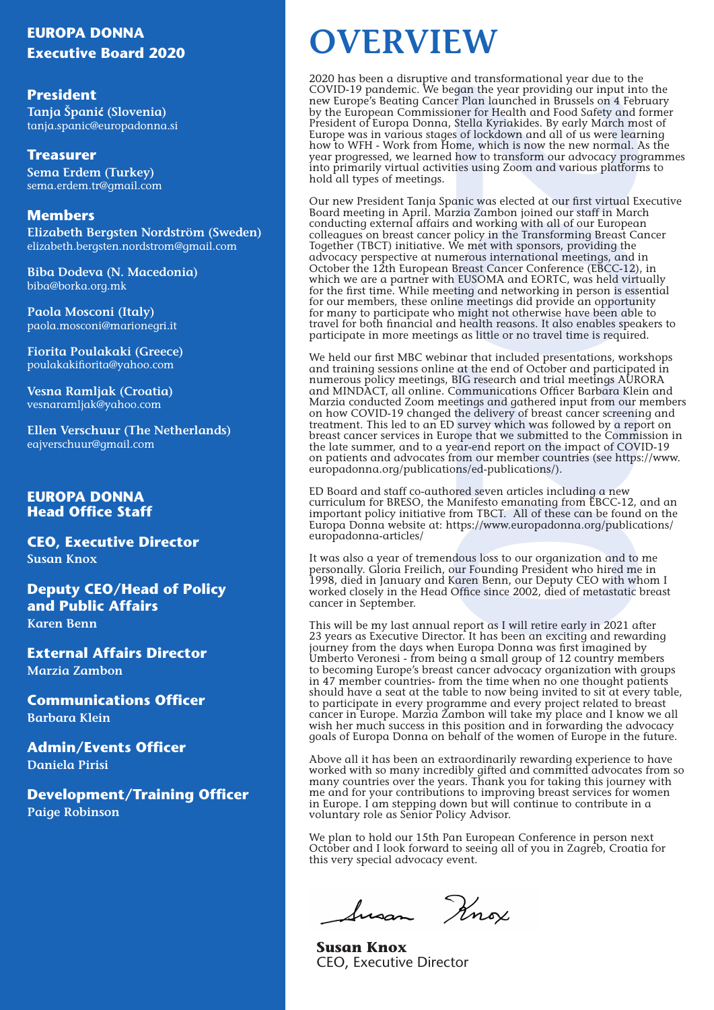# **EUROPA DONNA**

**President Tanja Španić (Slovenia)** tanja.spanic@europadonna.si

**Treasurer Sema Erdem (Turkey)** sema.erdem.tr@gmail.com

## **Members**

**Elizabeth Bergsten Nordström (Sweden)** elizabeth.bergsten.nordstrom@gmail.com

**Biba Dodeva (N. Macedonia)** biba@borka.org.mk

**Paola Mosconi (Italy)** paola.mosconi@marionegri.it

**Fiorita Poulakaki (Greece)** poulakakifiorita@yahoo.com

**Vesna Ramljak (Croatia)** vesnaramljak@yahoo.com

**Ellen Verschuur (The Netherlands)**  eajverschuur@gmail.com

## **EUROPA DONNA Head Office Staff**

**CEO, Executive Director Susan Knox**

**Deputy CEO/Head of Policy and Public Affairs Karen Benn**

**External Affairs Director Marzia Zambon**

**Communications Officer Barbara Klein**

**Admin/Events Officer Daniela Pirisi**

**Development/Training Officer Paige Robinson**

# **Executive Board 2020 OVERVIEW**

2020 has been a disruptive and transformational year due to the COVID-19 pandemic. We began the year providing our input into the new Europe's Beating Cancer Plan launched in Brussels on 4 February by the European Commissioner for Health and Food Safety and former President of Europa Donna, Stella Kyriakides. By early March most of Europe was in various stages of lockdown and all of us were learning how to WFH - Work from Home, which is now the new normal. As the year progressed, we learned how to transform our advocacy programmes into primarily virtual activities using Zoom and various platforms to hold all types of meetings.

gam the year providing our input in<br>the pear providing our input in Than launched in Brussels on 4 Fel<br>are for Health and Food Safety and Stella Kyriakides. By early March me<br>so flockdown and all of us were lead<br>then which Our new President Tanja Spanic was elected at our first virtual Executive Board meeting in April. Marzia Zambon joined our staff in March conducting external affairs and working with all of our European colleagues on breast cancer policy in the Transforming Breast Cancer Together (TBCT) initiative. We met with sponsors, providing the advocacy perspective at numerous international meetings, and in October the 12th European Breast Cancer Conference (EBCC-12), in which we are a partner with EUSOMA and EORTC, was held virtually for the first time. While meeting and networking in person is essential for our members, these online meetings did provide an opportunity for many to participate who might not otherwise have been able to travel for both financial and health reasons. It also enables speakers to participate in more meetings as little or no travel time is required.

We held our first MBC webinar that included presentations, workshops and training sessions online at the end of October and participated in numerous policy meetings, BIG research and trial meetings AURORA and MINDACT, all online. Communications Officer Barbara Klein and Marzia conducted Zoom meetings and gathered input from our members on how COVID-19 changed the delivery of breast cancer screening and treatment. This led to an ED survey which was followed by a report on breast cancer services in Europe that we submitted to the Commission in the late summer, and to a year-end report on the impact of COVID-19 on patients and advocates from our member countries (see https://www. europadonna.org/publications/ed-publications/).

ED Board and staff co-authored seven articles including a new curriculum for BRESO, the Manifesto emanating from EBCC-12, and an important policy initiative from TBCT. All of these can be found on the Europa Donna website at: https://www.europadonna.org/publications/ europadonna-articles/

It was also a year of tremendous loss to our organization and to me personally. Gloria Freilich, our Founding President who hired me in 1998, died in January and Karen Benn, our Deputy CEO with whom I worked closely in the Head Office since 2002, died of metastatic breast cancer in September.

This will be my last annual report as I will retire early in 2021 after 23 years as Executive Director. It has been an exciting and rewarding journey from the days when Europa Donna was first imagined by Umberto Veronesi - from being a small group of 12 country members to becoming Europe's breast cancer advocacy organization with groups in 47 member countries- from the time when no one thought patients should have a seat at the table to now being invited to sit at every table, to participate in every programme and every project related to breast cancer in Europe. Marzia Zambon will take my place and I know we all wish her much success in this position and in forwarding the advocacy goals of Europa Donna on behalf of the women of Europe in the future.

Above all it has been an extraordinarily rewarding experience to have worked with so many incredibly gifted and committed advocates from so many countries over the years. Thank you for taking this journey with me and for your contributions to improving breast services for women in Europe. I am stepping down but will continue to contribute in a voluntary role as Senior Policy Advisor.

We plan to hold our 15th Pan European Conference in person next October and I look forward to seeing all of you in Zagreb, Croatia for this very special advocacy event.

Susan Knox

**Susan Knox** CEO, Executive Director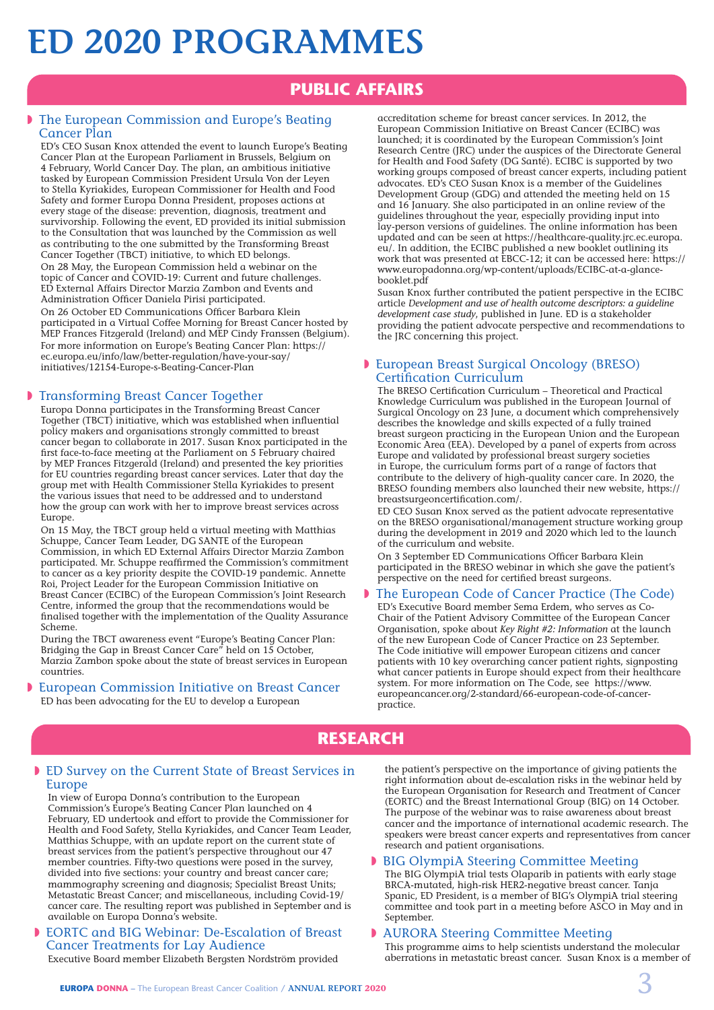# **ED 2020 PROGRAMMES**

# **PUBLIC AFFAIRS**

### The European Commission and Europe's Beating Cancer Plan

ED's CEO Susan Knox attended the event to launch Europe's Beating Cancer Plan at the European Parliament in Brussels, Belgium on 4 February, World Cancer Day. The plan, an ambitious initiative tasked by European Commission President Ursula Von der Leyen to Stella Kyriakides, European Commissioner for Health and Food Safety and former Europa Donna President, proposes actions at every stage of the disease: prevention, diagnosis, treatment and survivorship. Following the event, ED provided its initial submission to the Consultation that was launched by the Commission as well as contributing to the one submitted by the Transforming Breast Cancer Together (TBCT) initiative, to which ED belongs. On 28 May, the European Commission held a webinar on the topic of Cancer and COVID-19: Current and future challenges. ED External Affairs Director Marzia Zambon and Events and Administration Officer Daniela Pirisi participated. On 26 October ED Communications Officer Barbara Klein participated in a Virtual Coffee Morning for Breast Cancer hosted by MEP Frances Fitzgerald (Ireland) and MEP Cindy Franssen (Belgium). For more information on Europe's Beating Cancer Plan: https:// ec.europa.eu/info/law/better-regulation/have-your-say/ initiatives/12154-Europe-s-Beating-Cancer-Plan

### **Figure 3 Transforming Breast Cancer Together**

Europa Donna participates in the Transforming Breast Cancer Together (TBCT) initiative, which was established when influential policy makers and organisations strongly committed to breast cancer began to collaborate in 2017. Susan Knox participated in the first face-to-face meeting at the Parliament on 5 February chaired by MEP Frances Fitzgerald (Ireland) and presented the key priorities for EU countries regarding breast cancer services. Later that day the group met with Health Commissioner Stella Kyriakides to present the various issues that need to be addressed and to understand how the group can work with her to improve breast services across Europe.

On 15 May, the TBCT group held a virtual meeting with Matthias Schuppe, Cancer Team Leader, DG SANTE of the European Commission, in which ED External Affairs Director Marzia Zambon participated. Mr. Schuppe reaffirmed the Commission's commitment to cancer as a key priority despite the COVID-19 pandemic. Annette Roi, Project Leader for the European Commission Initiative on Breast Cancer (ECIBC) of the European Commission's Joint Research Centre, informed the group that the recommendations would be finalised together with the implementation of the Quality Assurance Scheme.

During the TBCT awareness event "Europe's Beating Cancer Plan: Bridging the Gap in Breast Cancer Care" held on 15 October, Marzia Zambon spoke about the state of breast services in European countries.

### **D** European Commission Initiative on Breast Cancer

ED has been advocating for the EU to develop a European

accreditation scheme for breast cancer services. In 2012, the European Commission Initiative on Breast Cancer (ECIBC) was launched; it is coordinated by the European Commission's Joint Research Centre (JRC) under the auspices of the Directorate General for Health and Food Safety (DG Santé). ECIBC is supported by two working groups composed of breast cancer experts, including patient advocates. ED's CEO Susan Knox is a member of the Guidelines Development Group (GDG) and attended the meeting held on 15 and 16 January. She also participated in an online review of the guidelines throughout the year, especially providing input into lay-person versions of guidelines. The online information has been updated and can be seen at https://healthcare-quality.jrc.ec.europa. eu/. In addition, the ECIBC published a new booklet outlining its work that was presented at EBCC-12; it can be accessed here: https:// www.europadonna.org/wp-content/uploads/ECIBC-at-a-glancebooklet.pdf

Susan Knox further contributed the patient perspective in the ECIBC article *Development and use of health outcome descriptors: a guideline development case study*, published in June. ED is a stakeholder providing the patient advocate perspective and recommendations to the JRC concerning this project.

### **European Breast Surgical Oncology (BRESO)** Certification Curriculum

The BRESO Certification Curriculum – Theoretical and Practical Knowledge Curriculum was published in the European Journal of Surgical Oncology on 23 June, a document which comprehensively describes the knowledge and skills expected of a fully trained breast surgeon practicing in the European Union and the European Economic Area (EEA). Developed by a panel of experts from across Europe and validated by professional breast surgery societies in Europe, the curriculum forms part of a range of factors that contribute to the delivery of high-quality cancer care. In 2020, the BRESO founding members also launched their new website, https:// breastsurgeoncertification.com/.

ED CEO Susan Knox served as the patient advocate representative on the BRESO organisational/management structure working group during the development in 2019 and 2020 which led to the launch of the curriculum and website.

On 3 September ED Communications Officer Barbara Klein participated in the BRESO webinar in which she gave the patient's perspective on the need for certified breast surgeons.

### The European Code of Cancer Practice (The Code)

ED's Executive Board member Sema Erdem, who serves as Co-Chair of the Patient Advisory Committee of the European Cancer Organisation, spoke about *Key Right #2: Information* at the launch of the new European Code of Cancer Practice on 23 September. The Code initiative will empower European citizens and cancer patients with 10 key overarching cancer patient rights, signposting what cancer patients in Europe should expect from their healthcare system. For more information on The Code, see https://www. europeancancer.org/2-standard/66-european-code-of-cancerpractice.

# **RESEARCH**

### **ED Survey on the Current State of Breast Services in** Europe

In view of Europa Donna's contribution to the European Commission's Europe's Beating Cancer Plan launched on 4 February, ED undertook and effort to provide the Commissioner for Health and Food Safety, Stella Kyriakides, and Cancer Team Leader, Matthias Schuppe, with an update report on the current state of breast services from the patient's perspective throughout our 47 member countries. Fifty-two questions were posed in the survey, divided into five sections: your country and breast cancer care; mammography screening and diagnosis; Specialist Breast Units; Metastatic Breast Cancer; and miscellaneous, including Covid-19/ cancer care. The resulting report was published in September and is available on Europa Donna's website.

#### **EORTC and BIG Webinar: De-Escalation of Breast** Cancer Treatments for Lay Audience

Executive Board member Elizabeth Bergsten Nordström provided

the patient's perspective on the importance of giving patients the right information about de-escalation risks in the webinar held by the European Organisation for Research and Treatment of Cancer (EORTC) and the Breast International Group (BIG) on 14 October. The purpose of the webinar was to raise awareness about breast cancer and the importance of international academic research. The speakers were breast cancer experts and representatives from cancer research and patient organisations.

#### **BIG OlympiA Steering Committee Meeting**

The BIG OlympiA trial tests Olaparib in patients with early stage BRCA-mutated, high-risk HER2-negative breast cancer. Tanja Spanic, ED President, is a member of BIG's OlympiA trial steering committee and took part in a meeting before ASCO in May and in September.

#### **D** AURORA Steering Committee Meeting

This programme aims to help scientists understand the molecular aberrations in metastatic breast cancer. Susan Knox is a member of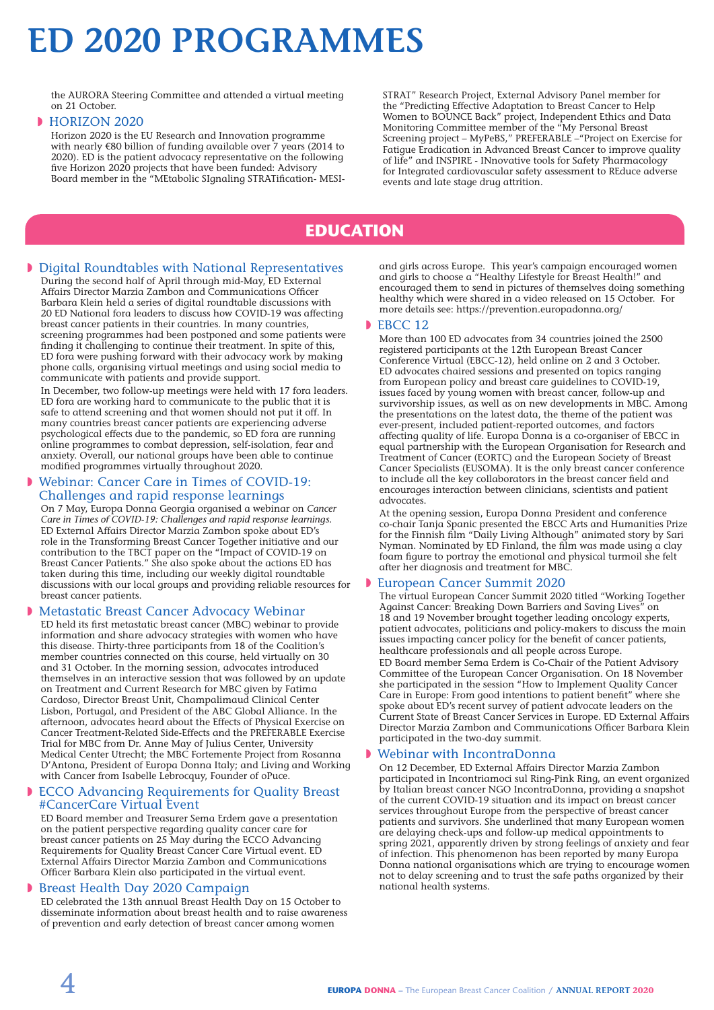# **ED 2020 PROGRAMMES**

the AURORA Steering Committee and attended a virtual meeting on 21 October.

#### **HORIZON 2020**

Horizon 2020 is the EU Research and Innovation programme with nearly €80 billion of funding available over 7 years (2014 to 2020). ED is the patient advocacy representative on the following five Horizon 2020 projects that have been funded: Advisory Board member in the "MEtabolic SIgnaling STRATification- MESI-

STRAT" Research Project, External Advisory Panel member for the "Predicting Effective Adaptation to Breast Cancer to Help Women to BOUNCE Back" project, Independent Ethics and Data Monitoring Committee member of the "My Personal Breast Screening project – MyPeBS," PREFERABLE –"Project on Exercise for Fatigue Eradication in Advanced Breast Cancer to improve quality of life" and INSPIRE - INnovative tools for Safety Pharmacology for Integrated cardiovascular safety assessment to REduce adverse events and late stage drug attrition.

# **EDUCATION**

#### **Digital Roundtables with National Representatives**

During the second half of April through mid-May, ED External Affairs Director Marzia Zambon and Communications Officer Barbara Klein held a series of digital roundtable discussions with 20 ED National fora leaders to discuss how COVID-19 was affecting breast cancer patients in their countries. In many countries, screening programmes had been postponed and some patients were finding it challenging to continue their treatment. In spite of this, ED fora were pushing forward with their advocacy work by making phone calls, organising virtual meetings and using social media to communicate with patients and provide support.

In December, two follow-up meetings were held with 17 fora leaders. ED fora are working hard to communicate to the public that it is safe to attend screening and that women should not put it off. In many countries breast cancer patients are experiencing adverse psychological effects due to the pandemic, so ED fora are running online programmes to combat depression, self-isolation, fear and anxiety. Overall, our national groups have been able to continue modified programmes virtually throughout 2020.

#### Webinar: Cancer Care in Times of COVID-19: Challenges and rapid response learnings

On 7 May, Europa Donna Georgia organised a webinar on *Cancer Care in Times of COVID-19: Challenges and rapid response learnings.* ED External Affairs Director Marzia Zambon spoke about ED's role in the Transforming Breast Cancer Together initiative and our contribution to the TBCT paper on the "Impact of COVID-19 on Breast Cancer Patients." She also spoke about the actions ED has taken during this time, including our weekly digital roundtable discussions with our local groups and providing reliable resources for breast cancer patients.

#### **Metastatic Breast Cancer Advocacy Webinar**

ED held its first metastatic breast cancer (MBC) webinar to provide information and share advocacy strategies with women who have this disease. Thirty-three participants from 18 of the Coalition's member countries connected on this course, held virtually on 30 and 31 October. In the morning session, advocates introduced themselves in an interactive session that was followed by an update on Treatment and Current Research for MBC given by Fatima Cardoso, Director Breast Unit, Champalimaud Clinical Center Lisbon, Portugal, and President of the ABC Global Alliance. In the afternoon, advocates heard about the Effects of Physical Exercise on Cancer Treatment-Related Side-Effects and the PREFERABLE Exercise Trial for MBC from Dr. Anne May of Julius Center, University Medical Center Utrecht; the MBC Fortemente Project from Rosanna D'Antona, President of Europa Donna Italy; and Living and Working with Cancer from Isabelle Lebrocquy, Founder of oPuce.

#### **ECCO Advancing Requirements for Quality Breast** #CancerCare Virtual Event

ED Board member and Treasurer Sema Erdem gave a presentation on the patient perspective regarding quality cancer care for breast cancer patients on 25 May during the ECCO Advancing Requirements for Quality Breast Cancer Care Virtual event. ED External Affairs Director Marzia Zambon and Communications Officer Barbara Klein also participated in the virtual event.

#### **Breast Health Day 2020 Campaign**

ED celebrated the 13th annual Breast Health Day on 15 October to disseminate information about breast health and to raise awareness of prevention and early detection of breast cancer among women

and girls across Europe. This year's campaign encouraged women and girls to choose a "Healthy Lifestyle for Breast Health!" and encouraged them to send in pictures of themselves doing something healthy which were shared in a video released on 15 October. For more details see: https://prevention.europadonna.org/

#### $\blacktriangleright$  EBCC 12

More than 100 ED advocates from 34 countries joined the 2500 registered participants at the 12th European Breast Cancer Conference Virtual (EBCC-12), held online on 2 and 3 October. ED advocates chaired sessions and presented on topics ranging from European policy and breast care guidelines to COVID-19, issues faced by young women with breast cancer, follow-up and survivorship issues, as well as on new developments in MBC. Among the presentations on the latest data, the theme of the patient was ever-present, included patient-reported outcomes, and factors affecting quality of life. Europa Donna is a co-organiser of EBCC in equal partnership with the European Organisation for Research and Treatment of Cancer (EORTC) and the European Society of Breast Cancer Specialists (EUSOMA). It is the only breast cancer conference to include all the key collaborators in the breast cancer field and encourages interaction between clinicians, scientists and patient advocates.

At the opening session, Europa Donna President and conference co-chair Tanja Spanic presented the EBCC Arts and Humanities Prize for the Finnish film "Daily Living Although" animated story by Sari Nyman. Nominated by ED Finland, the film was made using a clay foam figure to portray the emotional and physical turmoil she felt after her diagnosis and treatment for MBC.

#### **D** European Cancer Summit 2020

The virtual European Cancer Summit 2020 titled "Working Together Against Cancer: Breaking Down Barriers and Saving Lives" on 18 and 19 November brought together leading oncology experts, patient advocates, politicians and policy-makers to discuss the main issues impacting cancer policy for the benefit of cancer patients, healthcare professionals and all people across Europe.

ED Board member Sema Erdem is Co-Chair of the Patient Advisory Committee of the European Cancer Organisation. On 18 November she participated in the session "How to Implement Quality Cancer Care in Europe: From good intentions to patient benefit" where she spoke about ED's recent survey of patient advocate leaders on the Current State of Breast Cancer Services in Europe. ED External Affairs Director Marzia Zambon and Communications Officer Barbara Klein participated in the two-day summit.

#### Webinar with IncontraDonna

On 12 December, ED External Affairs Director Marzia Zambon participated in Incontriamoci sul Ring-Pink Ring, an event organized by Italian breast cancer NGO IncontraDonna, providing a snapshot of the current COVID-19 situation and its impact on breast cancer services throughout Europe from the perspective of breast cancer patients and survivors. She underlined that many European women are delaying check-ups and follow-up medical appointments to spring 2021, apparently driven by strong feelings of anxiety and fear of infection. This phenomenon has been reported by many Europa Donna national organisations which are trying to encourage women not to delay screening and to trust the safe paths organized by their national health systems.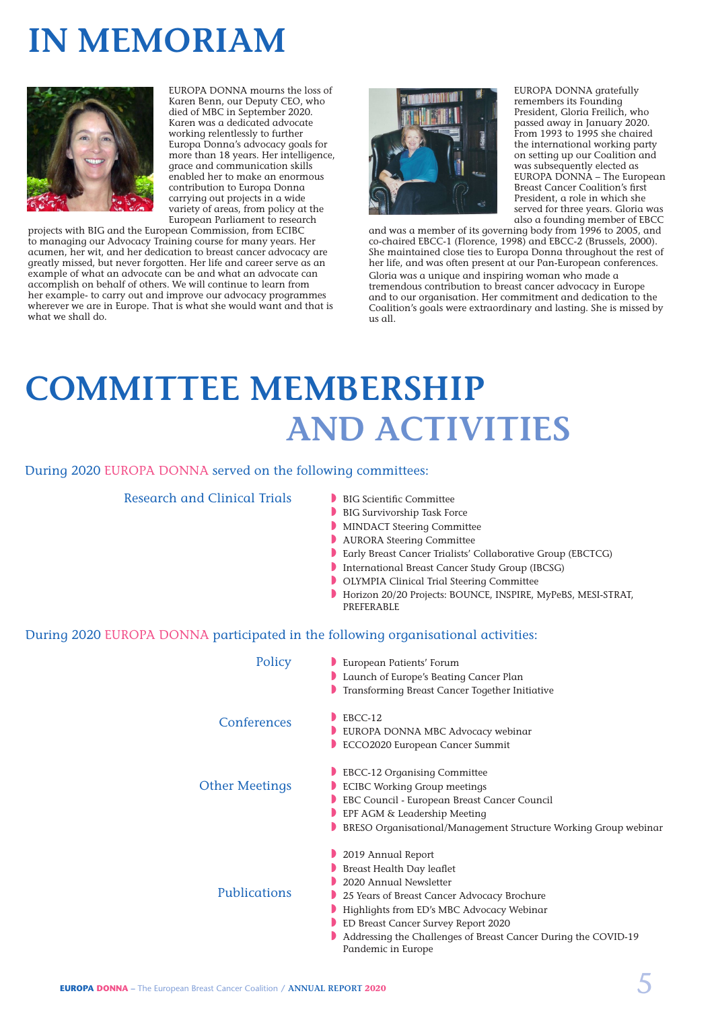# **IN MEMORIAM**



EUROPA DONNA mourns the loss of Karen Benn, our Deputy CEO, who died of MBC in September 2020. Karen was a dedicated advocate working relentlessly to further Europa Donna's advocacy goals for more than 18 years. Her intelligence, grace and communication skills enabled her to make an enormous contribution to Europa Donna carrying out projects in a wide variety of areas, from policy at the European Parliament to research

projects with BIG and the European Commission, from ECIBC to managing our Advocacy Training course for many years. Her acumen, her wit, and her dedication to breast cancer advocacy are greatly missed, but never forgotten. Her life and career serve as an example of what an advocate can be and what an advocate can accomplish on behalf of others. We will continue to learn from her example- to carry out and improve our advocacy programmes wherever we are in Europe. That is what she would want and that is what we shall do.



EUROPA DONNA gratefully remembers its Founding President, Gloria Freilich, who passed away in January 2020. From 1993 to 1995 she chaired the international working party on setting up our Coalition and was subsequently elected as EUROPA DONNA – The European Breast Cancer Coalition's first President, a role in which she served for three years. Gloria was also a founding member of EBCC

and was a member of its governing body from 1996 to 2005, and co-chaired EBCC-1 (Florence, 1998) and EBCC-2 (Brussels, 2000). She maintained close ties to Europa Donna throughout the rest of her life, and was often present at our Pan-European conferences. Gloria was a unique and inspiring woman who made a tremendous contribution to breast cancer advocacy in Europe and to our organisation. Her commitment and dedication to the Coalition's goals were extraordinary and lasting. She is missed by us all.

# **COMMITTEE MEMBERSHIP AND ACTIVITIES**

### During 2020 EUROPA DONNA served on the following committees:

Research and Clinical Trials

#### BIG Scientific Committee

- **BIG Survivorship Task Force**
- MINDACT Steering Committee
- **NURORA Steering Committee**
- **D** Early Breast Cancer Trialists' Collaborative Group (EBCTCG)
- International Breast Cancer Study Group (IBCSG)
- **D** OLYMPIA Clinical Trial Steering Committee
- Horizon 20/20 Projects: BOUNCE, INSPIRE, MyPeBS, MESI-STRAT, PREFERABLE

#### During 2020 EUROPA DONNA participated in the following organisational activities:

| Policy                | European Patients' Forum<br>Launch of Europe's Beating Cancer Plan<br>Transforming Breast Cancer Together Initiative                                                                                                                                                                                 |
|-----------------------|------------------------------------------------------------------------------------------------------------------------------------------------------------------------------------------------------------------------------------------------------------------------------------------------------|
| Conferences           | $ERCC-12$<br>EUROPA DONNA MBC Advocacy webinar<br>ECCO2020 European Cancer Summit                                                                                                                                                                                                                    |
| <b>Other Meetings</b> | <b>EBCC-12 Organising Committee</b><br><b>ECIBC Working Group meetings</b><br>EBC Council - European Breast Cancer Council<br>EPF AGM & Leadership Meeting<br>BRESO Organisational/Management Structure Working Group webinar                                                                        |
| Publications          | 2019 Annual Report<br>Breast Health Day leaflet<br>2020 Annual Newsletter<br>25 Years of Breast Cancer Advocacy Brochure<br>Highlights from ED's MBC Advocacy Webinar<br>ED Breast Cancer Survey Report 2020<br>Addressing the Challenges of Breast Cancer During the COVID-19<br>Pandemic in Europe |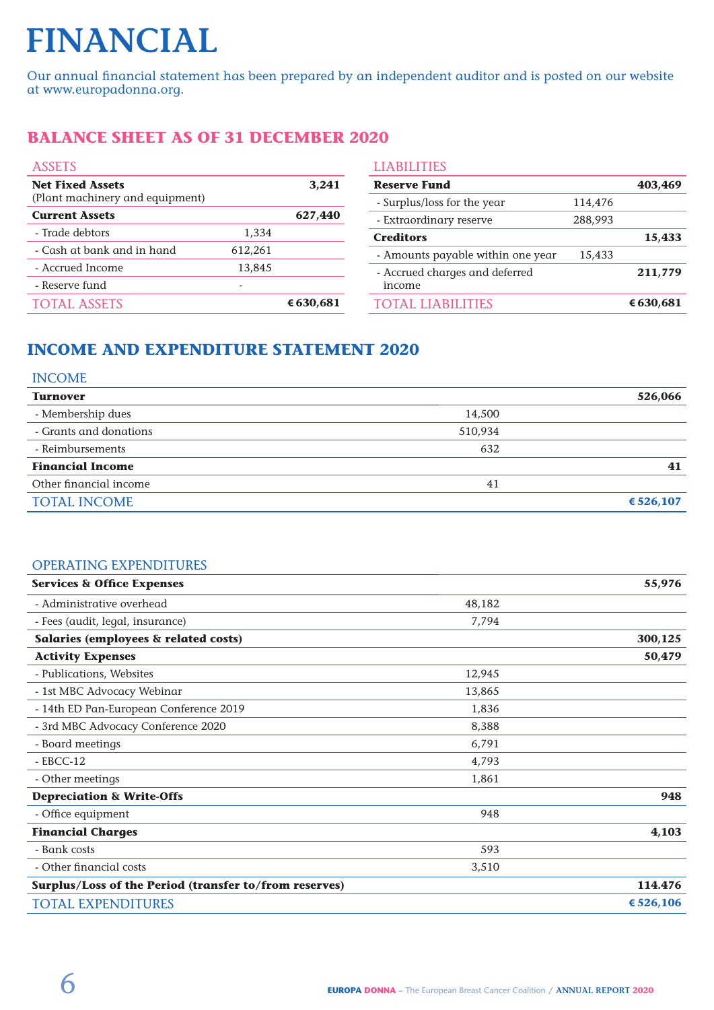# **FINANCIAL**

Our annual financial statement has been prepared by an independent auditor and is posted on our website at www.europadonna.org.

# **BALANCE SHEET AS OF 31 DECEMBER 2020**

| <b>ASSETS</b>                                              |         | <b>LIABILITIES</b> |                                   |         |           |  |
|------------------------------------------------------------|---------|--------------------|-----------------------------------|---------|-----------|--|
| <b>Net Fixed Assets</b><br>(Plant machinery and equipment) |         | 3,241              | <b>Reserve Fund</b>               |         | 403,469   |  |
|                                                            |         |                    | - Surplus/loss for the year       | 114,476 |           |  |
| <b>Current Assets</b>                                      |         | 627,440            | - Extraordinary reserve           | 288,993 |           |  |
| - Trade debtors                                            | 1,334   |                    | <b>Creditors</b>                  |         | 15,433    |  |
| - Cash at bank and in hand                                 | 612,261 |                    | - Amounts payable within one year | 15,433  |           |  |
| - Accrued Income                                           | 13,845  |                    | - Accrued charges and deferred    |         | 211,779   |  |
| - Reserve fund                                             | ۰       |                    | income                            |         |           |  |
| <b>TOTAL ASSETS</b>                                        |         | € 630,681          | TOTAL LIABILITIES                 |         | € 630,681 |  |
|                                                            |         |                    |                                   |         |           |  |

# **INCOME AND EXPENDITURE STATEMENT 2020**

### INCOME

|         | 526,066     |
|---------|-------------|
| 14,500  |             |
| 510,934 |             |
| 632     |             |
|         | 41          |
| 41      |             |
|         | € $526,107$ |
|         |             |

## OPERATING EXPENDITURES

| <b>Services &amp; Office Expenses</b>                  |         | 55,976      |
|--------------------------------------------------------|---------|-------------|
| - Administrative overhead                              | 48,182  |             |
| - Fees (audit, legal, insurance)                       | 7,794   |             |
| Salaries (employees & related costs)                   |         | 300,125     |
| <b>Activity Expenses</b>                               |         | 50,479      |
| - Publications, Websites                               | 12,945  |             |
| - 1st MBC Advocacy Webinar                             | 13,865  |             |
| - 14th ED Pan-European Conference 2019                 | 1,836   |             |
| - 3rd MBC Advocacy Conference 2020                     | 8,388   |             |
| - Board meetings                                       | 6,791   |             |
| $-$ EBCC-12                                            | 4,793   |             |
| - Other meetings                                       | 1,861   |             |
| <b>Depreciation &amp; Write-Offs</b>                   |         | 948         |
| - Office equipment                                     | 948     |             |
| <b>Financial Charges</b>                               |         | 4,103       |
| - Bank costs                                           | 593     |             |
| - Other financial costs                                | 3,510   |             |
| Surplus/Loss of the Period (transfer to/from reserves) | 114.476 |             |
| <b>TOTAL EXPENDITURES</b>                              |         | € $526,106$ |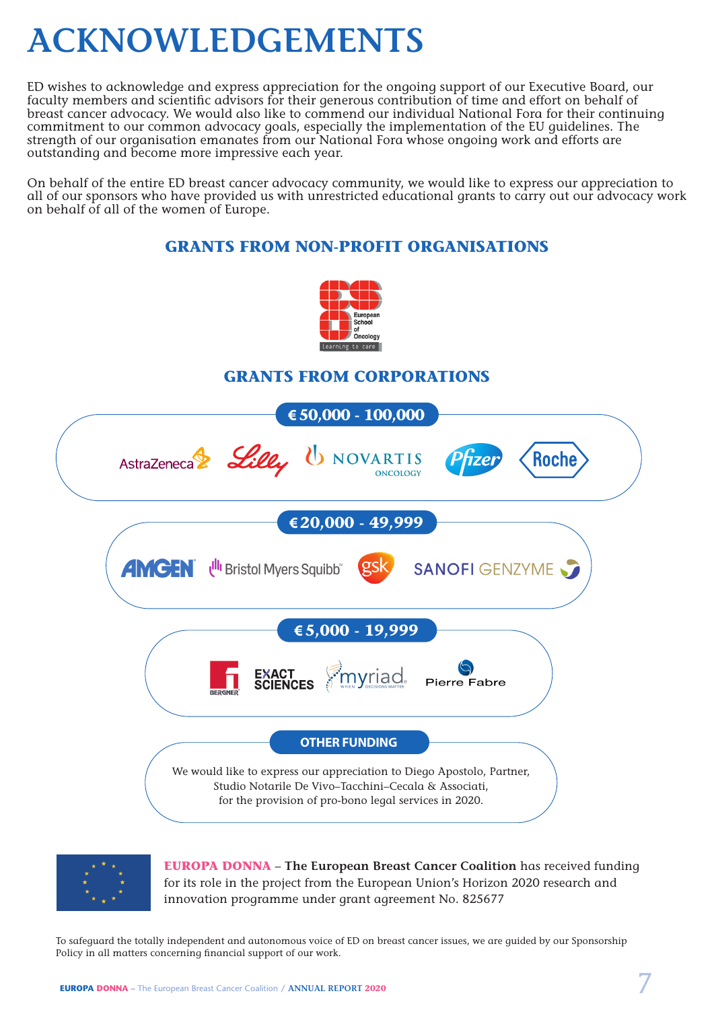# **ACKNOWLEDGEMENTS**

ED wishes to acknowledge and express appreciation for the ongoing support of our Executive Board, our faculty members and scientific advisors for their generous contribution of time and effort on behalf of breast cancer advocacy. We would also like to commend our individual National Fora for their continuing commitment to our common advocacy goals, especially the implementation of the EU guidelines. The strength of our organisation emanates from our National Fora whose ongoing work and efforts are outstanding and become more impressive each year.

On behalf of the entire ED breast cancer advocacy community, we would like to express our appreciation to all of our sponsors who have provided us with unrestricted educational grants to carry out our advocacy work on behalf of all of the women of Europe.

## **GRANTS FROM NON-PROFIT ORGANISATIONS**



## **GRANTS FROM CORPORATIONS**





**EUROPA DONNA** – **The European Breast Cancer Coalition** has received funding for its role in the project from the European Union's Horizon 2020 research and innovation programme under grant agreement No. 825677

To safeguard the totally independent and autonomous voice of ED on breast cancer issues, we are guided by our Sponsorship Policy in all matters concerning financial support of our work.